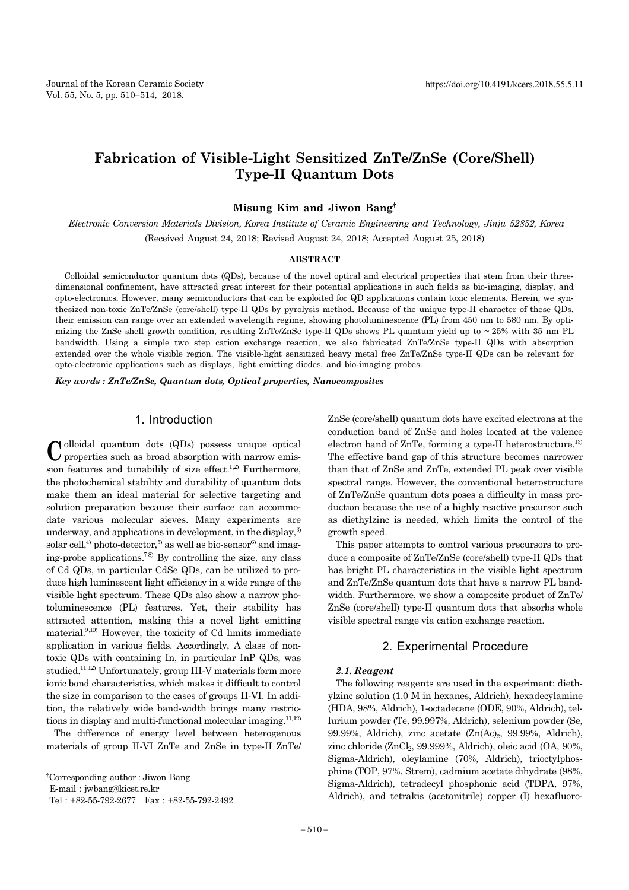Journal of the Korean Ceramic Society Vol. 55, No. 5, pp. 510−514, 2018.

# Fabrication of Visible-Light Sensitized ZnTe/ZnSe (Core/Shell) Type-II Quantum Dots

# Misung Kim and Jiwon Bang†

 Electronic Conversion Materials Division, Korea Institute of Ceramic Engineering and Technology, Jinju 52852, Korea (Received August 24, 2018; Revised August 24, 2018; Accepted August 25, 2018)

# ABSTRACT

Colloidal semiconductor quantum dots (QDs), because of the novel optical and electrical properties that stem from their threedimensional confinement, have attracted great interest for their potential applications in such fields as bio-imaging, display, and opto-electronics. However, many semiconductors that can be exploited for QD applications contain toxic elements. Herein, we synthesized non-toxic ZnTe/ZnSe (core/shell) type-II QDs by pyrolysis method. Because of the unique type-II character of these QDs, their emission can range over an extended wavelength regime, showing photoluminescence (PL) from 450 nm to 580 nm. By optimizing the ZnSe shell growth condition, resulting ZnTe/ZnSe type-II QDs shows PL quantum yield up to  $\sim$  25% with 35 nm PL bandwidth. Using a simple two step cation exchange reaction, we also fabricated ZnTe/ZnSe type-II QDs with absorption extended over the whole visible region. The visible-light sensitized heavy metal free ZnTe/ZnSe type-II QDs can be relevant for opto-electronic applications such as displays, light emitting diodes, and bio-imaging probes.

Key words : ZnTe/ZnSe, Quantum dots, Optical properties, Nanocomposites

# 1. Introduction

olloidal quantum dots (QDs) possess unique optical Colloidal quantum dots (QDs) possess unique optical<br>
C properties such as broad absorption with narrow emission features and tunabilily of size effect.<sup>1,2)</sup> Furthermore, the photochemical stability and durability of quantum dots make them an ideal material for selective targeting and solution preparation because their surface can accommodate various molecular sieves. Many experiments are underway, and applications in development, in the display, $3$ solar cell,<sup>4)</sup> photo-detector,<sup>5)</sup> as well as bio-sensor<sup>6)</sup> and imaging-probe applications.<sup>7,8)</sup> By controlling the size, any class of Cd QDs, in particular CdSe QDs, can be utilized to produce high luminescent light efficiency in a wide range of the visible light spectrum. These QDs also show a narrow photoluminescence (PL) features. Yet, their stability has attracted attention, making this a novel light emitting material.9,10) However, the toxicity of Cd limits immediate application in various fields. Accordingly, A class of nontoxic QDs with containing In, in particular InP QDs, was studied.11,12) Unfortunately, group III-V materials form more ionic bond characteristics, which makes it difficult to control the size in comparison to the cases of groups II-VI. In addition, the relatively wide band-width brings many restrictions in display and multi-functional molecular imaging.<sup>11,12</sup>

The difference of energy level between heterogenous materials of group II-VI ZnTe and ZnSe in type-II ZnTe/ ZnSe (core/shell) quantum dots have excited electrons at the conduction band of ZnSe and holes located at the valence electron band of ZnTe, forming a type-II heterostructure.<sup>13)</sup> The effective band gap of this structure becomes narrower than that of ZnSe and ZnTe, extended PL peak over visible spectral range. However, the conventional heterostructure of ZnTe/ZnSe quantum dots poses a difficulty in mass production because the use of a highly reactive precursor such as diethylzinc is needed, which limits the control of the growth speed.

This paper attempts to control various precursors to produce a composite of ZnTe/ZnSe (core/shell) type-II QDs that has bright PL characteristics in the visible light spectrum and ZnTe/ZnSe quantum dots that have a narrow PL bandwidth. Furthermore, we show a composite product of ZnTe/ ZnSe (core/shell) type-II quantum dots that absorbs whole visible spectral range via cation exchange reaction.

# 2. Experimental Procedure

2.1. Reagent The following reagents are used in the experiment: diethylzinc solution (1.0 M in hexanes, Aldrich), hexadecylamine (HDA, 98%, Aldrich), 1-octadecene (ODE, 90%, Aldrich), tellurium powder (Te, 99.997%, Aldrich), selenium powder (Se, 99.99%, Aldrich), zinc acetate (Zn(Ac)<sub>2</sub>, 99.99%, Aldrich), zinc chloride  $(ZnCl<sub>2</sub>, 99.999%,$  Aldrich), oleic acid (OA, 90%, Sigma-Aldrich), oleylamine (70%, Aldrich), trioctylphosphine (TOP, 97%, Strem), cadmium acetate dihydrate (98%, Sigma-Aldrich), tetradecyl phosphonic acid (TDPA, 97%, Aldrich), and tetrakis (acetonitrile) copper (I) hexafluoro-

<sup>†</sup> Corresponding author : Jiwon Bang

E-mail : jwbang@kicet.re.kr

Tel : +82-55-792-2677 Fax : +82-55-792-2492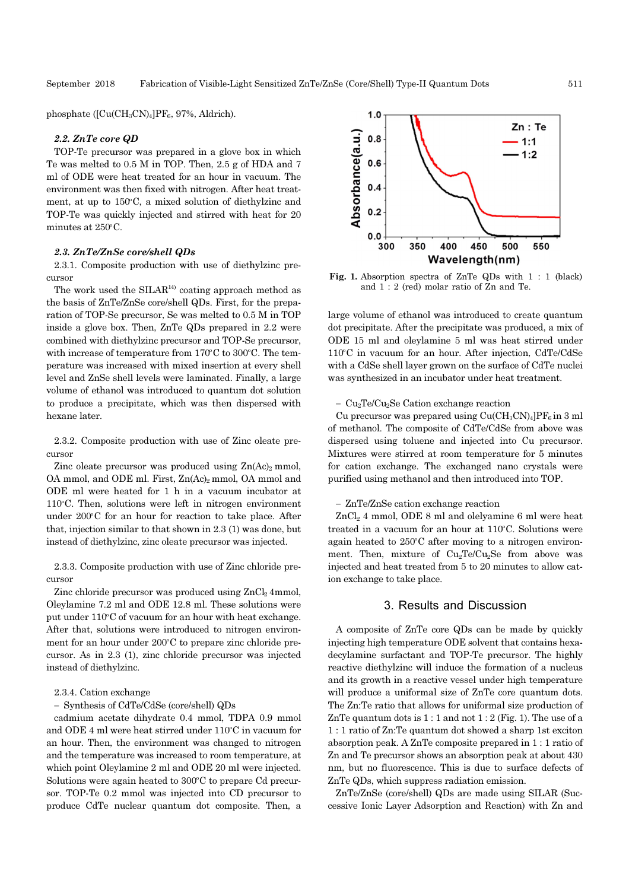phosphate ( $\text{[Cu(CH<sub>3</sub>CN)<sub>4</sub>]}PF_6$ , 97%, Aldrich).

TOP-Te precursor was prepared in a glove box in which Te was melted to 0.5 M in TOP. Then, 2.5 g of HDA and 7 ml of ODE were heat treated for an hour in vacuum. The environment was then fixed with nitrogen. After heat treatment, at up to 150°C, a mixed solution of diethylzinc and TOP-Te was quickly injected and stirred with heat for 20 minutes at 250°C.

2.3.1. Composite production with use of diethylzinc precursor

The work used the  $SILAR<sup>14)</sup>$  coating approach method as the basis of ZnTe/ZnSe core/shell QDs. First, for the preparation of TOP-Se precursor, Se was melted to 0.5 M in TOP inside a glove box. Then, ZnTe QDs prepared in 2.2 were combined with diethylzinc precursor and TOP-Se precursor, with increase of temperature from  $170^{\circ}$ C to  $300^{\circ}$ C. The temperature was increased with mixed insertion at every shell level and ZnSe shell levels were laminated. Finally, a large volume of ethanol was introduced to quantum dot solution to produce a precipitate, which was then dispersed with hexane later.

2.3.2. Composite production with use of Zinc oleate precursor

Zinc oleate precursor was produced using  $Zn(Ac)$ <sub>2</sub> mmol, OA mmol, and ODE ml. First,  $\text{Zn}(\text{Ac})_2$  mmol, OA mmol and ODE ml were heated for 1 h in a vacuum incubator at 110°C. Then, solutions were left in nitrogen environment under 200°C for an hour for reaction to take place. After that, injection similar to that shown in 2.3 (1) was done, but instead of diethylzinc, zinc oleate precursor was injected.

2.3.3. Composite production with use of Zinc chloride precursor

Zinc chloride precursor was produced using  $ZnCl<sub>2</sub> 4mmol$ , Oleylamine 7.2 ml and ODE 12.8 ml. These solutions were put under 110°C of vacuum for an hour with heat exchange. After that, solutions were introduced to nitrogen environment for an hour under  $200^{\circ}$ C to prepare zinc chloride precursor. As in 2.3 (1), zinc chloride precursor was injected −instead of diethylzinc.

### 2.3.4. Cation exchange

Synthesis of CdTe/CdSe (core/shell) QDs

cadmium acetate dihydrate 0.4 mmol, TDPA 0.9 mmol and ODE 4 ml were heat stirred under  $110^{\circ}$ C in vacuum for an hour. Then, the environment was changed to nitrogen and the temperature was increased to room temperature, at which point Oleylamine 2 ml and ODE 20 ml were injected. Solutions were again heated to 300°C to prepare Cd precursor. TOP-Te 0.2 mmol was injected into CD precursor to produce CdTe nuclear quantum dot composite. Then, a



Fig. 1. Absorption spectra of ZnTe QDs with 1 : 1 (black) and 1 : 2 (red) molar ratio of Zn and Te.

large volume of ethanol was introduced to create quantum dot precipitate. After the precipitate was produced, a mix of ODE 15 ml and oleylamine 5 ml was heat stirred under 110℃ in vacuum for an hour. After injection, CdTe/CdSe with a CdSe shell layer grown on the surface of CdTe nuclei was synthesized in an incubator under heat treatment.

## $-$  Cu<sub>2</sub>Te/Cu<sub>2</sub>Se Cation exchange reaction

Cu precursor was prepared using  $Cu(CH_3CN)_4$ ]PF<sub>6</sub> in 3 ml of methanol. The composite of CdTe/CdSe from above was dispersed using toluene and injected into Cu precursor. Mixtures were stirred at room temperature for 5 minutes for cation exchange. The exchanged nano crystals were purified using methanol and then introduced into TOP.

### ZnTe/ZnSe cation exchange reaction

 $ZnCl<sub>2</sub>$  4 mmol, ODE 8 ml and olelyamine 6 ml were heat treated in a vacuum for an hour at 110°C. Solutions were again heated to 250°C after moving to a nitrogen environment. Then, mixture of  $Cu<sub>2</sub>Te/Cu<sub>2</sub>Se$  from above was injected and heat treated from 5 to 20 minutes to allow cation exchange to take place.

# 3. Results and Discussion

A composite of ZnTe core QDs can be made by quickly injecting high temperature ODE solvent that contains hexadecylamine surfactant and TOP-Te precursor. The highly reactive diethylzinc will induce the formation of a nucleus and its growth in a reactive vessel under high temperature will produce a uniformal size of ZnTe core quantum dots. The Zn:Te ratio that allows for uniformal size production of ZnTe quantum dots is  $1:1$  and not  $1:2$  (Fig. 1). The use of a 1 : 1 ratio of Zn:Te quantum dot showed a sharp 1st exciton absorption peak. A ZnTe composite prepared in 1 : 1 ratio of Zn and Te precursor shows an absorption peak at about 430 nm, but no fluorescence. This is due to surface defects of ZnTe QDs, which suppress radiation emission.

ZnTe/ZnSe (core/shell) QDs are made using SILAR (Successive Ionic Layer Adsorption and Reaction) with Zn and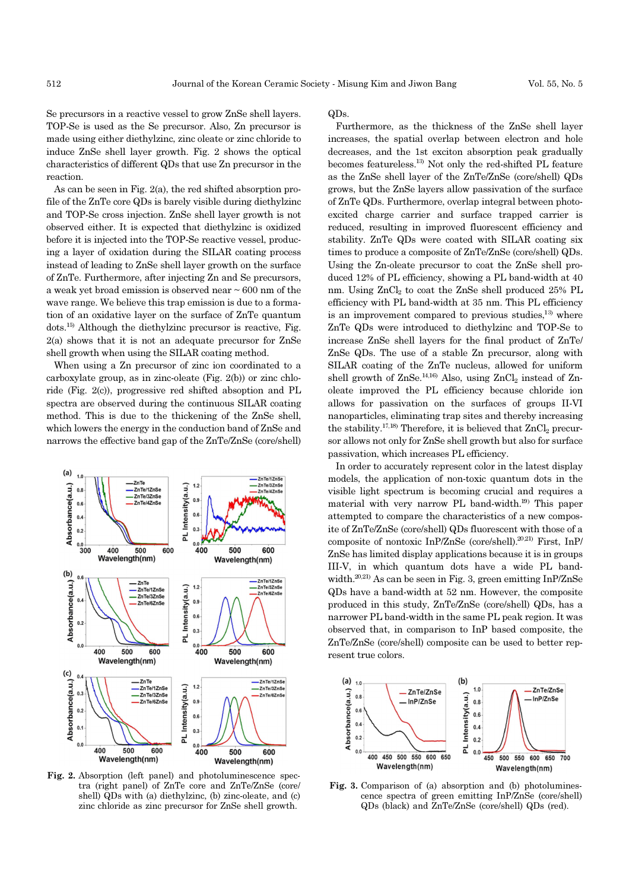Se precursors in a reactive vessel to grow ZnSe shell layers. TOP-Se is used as the Se precursor. Also, Zn precursor is made using either diethylzinc, zinc oleate or zinc chloride to induce ZnSe shell layer growth. Fig. 2 shows the optical characteristics of different QDs that use Zn precursor in the reaction.

As can be seen in Fig. 2(a), the red shifted absorption profile of the ZnTe core QDs is barely visible during diethylzinc and TOP-Se cross injection. ZnSe shell layer growth is not observed either. It is expected that diethylzinc is oxidized before it is injected into the TOP-Se reactive vessel, producing a layer of oxidation during the SILAR coating process instead of leading to ZnSe shell layer growth on the surface of ZnTe. Furthermore, after injecting Zn and Se precursors, a weak yet broad emission is observed near ~ 600 nm of the wave range. We believe this trap emission is due to a formation of an oxidative layer on the surface of ZnTe quantum dots.15) Although the diethylzinc precursor is reactive, Fig. 2(a) shows that it is not an adequate precursor for ZnSe shell growth when using the SILAR coating method.

When using a Zn precursor of zinc ion coordinated to a carboxylate group, as in zinc-oleate (Fig. 2(b)) or zinc chloride (Fig. 2(c)), progressive red shifted absoption and PL spectra are observed during the continuous SILAR coating method. This is due to the thickening of the ZnSe shell, which lowers the energy in the conduction band of ZnSe and narrows the effective band gap of the ZnTe/ZnSe (core/shell)



Fig. 2. Absorption (left panel) and photoluminescence spectra (right panel) of ZnTe core and ZnTe/ZnSe (core/ shell) QDs with (a) diethylzinc, (b) zinc-oleate, and (c) zinc chloride as zinc precursor for ZnSe shell growth.

## QDs.

Furthermore, as the thickness of the ZnSe shell layer increases, the spatial overlap between electron and hole decreases, and the 1st exciton absorption peak gradually becomes featureless.13) Not only the red-shifted PL feature as the ZnSe shell layer of the ZnTe/ZnSe (core/shell) QDs grows, but the ZnSe layers allow passivation of the surface of ZnTe QDs. Furthermore, overlap integral between photoexcited charge carrier and surface trapped carrier is reduced, resulting in improved fluorescent efficiency and stability. ZnTe QDs were coated with SILAR coating six times to produce a composite of ZnTe/ZnSe (core/shell) QDs. Using the Zn-oleate precursor to coat the ZnSe shell produced 12% of PL efficiency, showing a PL band-width at 40 nm. Using  $ZnCl<sub>2</sub>$  to coat the ZnSe shell produced 25% PL efficiency with PL band-width at 35 nm. This PL efficiency is an improvement compared to previous studies, $^{13)}$  where ZnTe QDs were introduced to diethylzinc and TOP-Se to increase ZnSe shell layers for the final product of ZnTe/ ZnSe QDs. The use of a stable Zn precursor, along with SILAR coating of the ZnTe nucleus, allowed for uniform shell growth of  $ZnSe.<sup>14,16)</sup>$  Also, using  $ZnCl<sub>2</sub>$  instead of  $Zn$ oleate improved the PL efficiency because chloride ion allows for passivation on the surfaces of groups II-VI nanoparticles, eliminating trap sites and thereby increasing the stability.<sup>17,18</sup>) Therefore, it is believed that  $ZnCl<sub>2</sub>$  precursor allows not only for ZnSe shell growth but also for surface passivation, which increases PL efficiency.

In order to accurately represent color in the latest display models, the application of non-toxic quantum dots in the visible light spectrum is becoming crucial and requires a material with very narrow PL band-width.<sup>19)</sup> This paper attempted to compare the characteristics of a new composite of ZnTe/ZnSe (core/shell) QDs fluorescent with those of a composite of nontoxic InP/ZnSe (core/shell).20,21) First, InP/ ZnSe has limited display applications because it is in groups III-V, in which quantum dots have a wide PL bandwidth.20,21) As can be seen in Fig. 3, green emitting InP/ZnSe QDs have a band-width at 52 nm. However, the composite produced in this study, ZnTe/ZnSe (core/shell) QDs, has a narrower PL band-width in the same PL peak region. It was observed that, in comparison to InP based composite, the ZnTe/ZnSe (core/shell) composite can be used to better represent true colors.



Fig. 3. Comparison of (a) absorption and (b) photoluminescence spectra of green emitting InP/ZnSe (core/shell) QDs (black) and ZnTe/ZnSe (core/shell) QDs (red).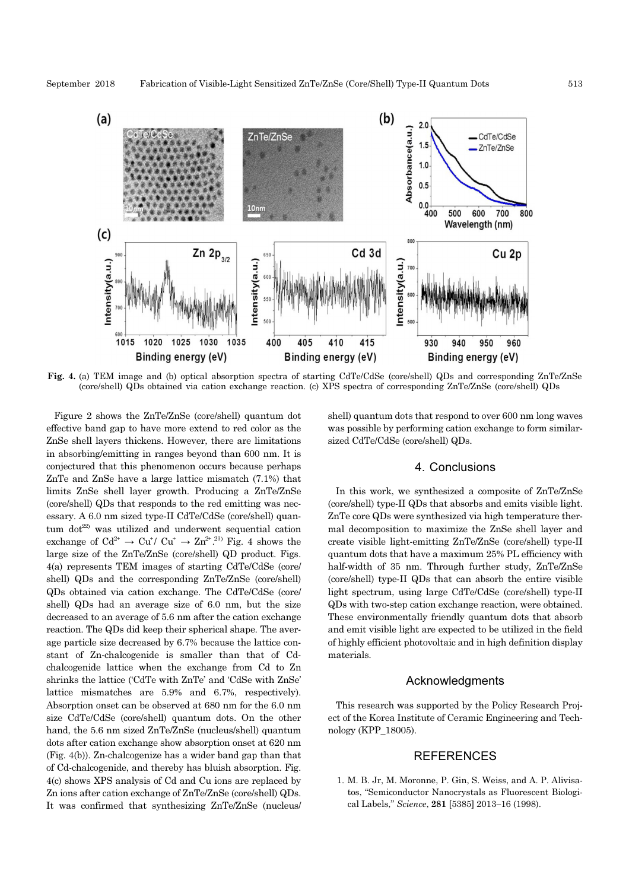

Fig. 4. (a) TEM image and (b) optical absorption spectra of starting CdTe/CdSe (core/shell) QDs and corresponding ZnTe/ZnSe (core/shell) QDs obtained via cation exchange reaction. (c) XPS spectra of corresponding ZnTe/ZnSe (core/shell) QDs

Figure 2 shows the ZnTe/ZnSe (core/shell) quantum dot effective band gap to have more extend to red color as the ZnSe shell layers thickens. However, there are limitations in absorbing/emitting in ranges beyond than 600 nm. It is conjectured that this phenomenon occurs because perhaps ZnTe and ZnSe have a large lattice mismatch (7.1%) that limits ZnSe shell layer growth. Producing a ZnTe/ZnSe (core/shell) QDs that responds to the red emitting was necessary. A 6.0 nm sized type-II CdTe/CdSe (core/shell) quantum  $dot^{22)}$  was utilized and underwent sequential cation exchange of  $Cd^{2+} \to Cu^{+}$ /  $Cu^{+} \to Zn^{2+}$ .<sup>23</sup>) Fig. 4 shows the large size of the ZnTe/ZnSe (core/shell) QD product. Figs. 4(a) represents TEM images of starting CdTe/CdSe (core/ shell) QDs and the corresponding ZnTe/ZnSe (core/shell) QDs obtained via cation exchange. The CdTe/CdSe (core/ shell) QDs had an average size of 6.0 nm, but the size decreased to an average of 5.6 nm after the cation exchange reaction. The QDs did keep their spherical shape. The average particle size decreased by 6.7% because the lattice constant of Zn-chalcogenide is smaller than that of Cdchalcogenide lattice when the exchange from Cd to Zn shrinks the lattice ('CdTe with ZnTe' and 'CdSe with ZnSe' lattice mismatches are 5.9% and 6.7%, respectively). Absorption onset can be observed at 680 nm for the 6.0 nm size CdTe/CdSe (core/shell) quantum dots. On the other hand, the 5.6 nm sized ZnTe/ZnSe (nucleus/shell) quantum dots after cation exchange show absorption onset at 620 nm (Fig. 4(b)). Zn-chalcogenize has a wider band gap than that of Cd-chalcogenide, and thereby has bluish absorption. Fig. 4(c) shows XPS analysis of Cd and Cu ions are replaced by Zn ions after cation exchange of ZnTe/ZnSe (core/shell) QDs. It was confirmed that synthesizing ZnTe/ZnSe (nucleus/ shell) quantum dots that respond to over 600 nm long waves was possible by performing cation exchange to form similarsized CdTe/CdSe (core/shell) QDs.

# 4. Conclusions

In this work, we synthesized a composite of ZnTe/ZnSe (core/shell) type-II QDs that absorbs and emits visible light. ZnTe core QDs were synthesized via high temperature thermal decomposition to maximize the ZnSe shell layer and create visible light-emitting ZnTe/ZnSe (core/shell) type-II quantum dots that have a maximum 25% PL efficiency with half-width of 35 nm. Through further study, ZnTe/ZnSe (core/shell) type-II QDs that can absorb the entire visible light spectrum, using large CdTe/CdSe (core/shell) type-II QDs with two-step cation exchange reaction, were obtained. These environmentally friendly quantum dots that absorb and emit visible light are expected to be utilized in the field of highly efficient photovoltaic and in high definition display materials.

## Acknowledgments

This research was supported by the Policy Research Project of the Korea Institute of Ceramic Engineering and Technology (KPP\_18005).

# **REFERENCES**

1. M. B. Jr, M. Moronne, P. Gin, S. Weiss, and A. P. Alivisatos, "Semiconductor Nanocrystals as Fluorescent Biologi-COLLINUED<br>M. B. Jr, M. Moronne, P. Gin, S. Weiss, and A.<br>tos, "Semiconductor Nanocrystals as Fluoresce:<br>cal Labels," *Science*, 281 [5385] 2013–16 (1998).